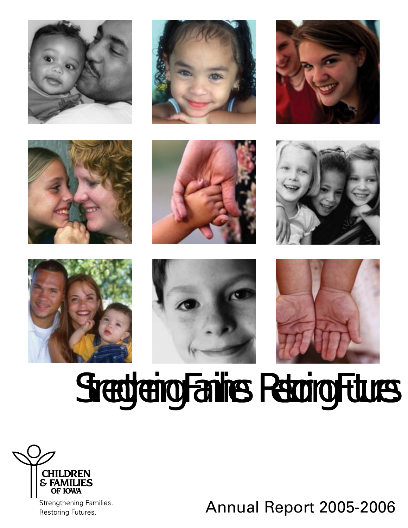

















# *Strengthening Families. Restoring Futures.*



Restoring Futures.

Annual Report 2005-2006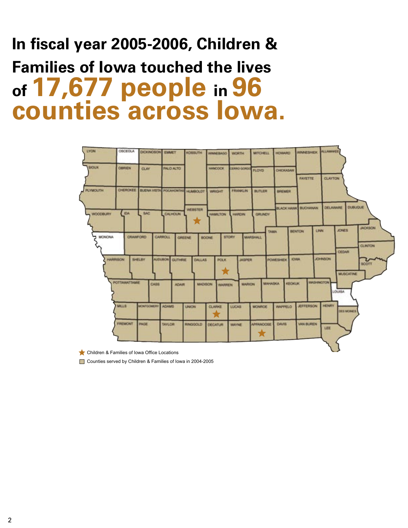### **In fiscal year 2005-2006, Children & Families of Iowa touched the lives of 17,677 people in 96 counties across Iowa.**



Children & Families of Iowa Office Locations

■ Counties served by Children & Families of Iowa in 2004-2005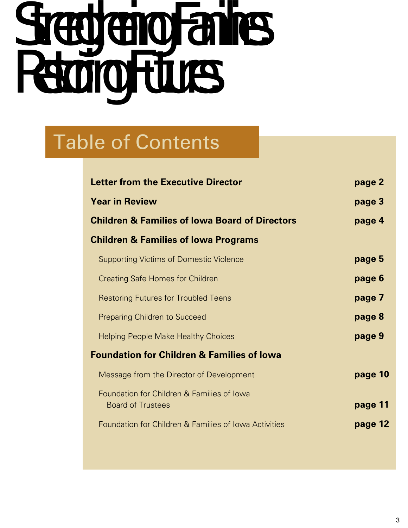# *Strengthening Families. Restoring Futures.*

### Table of Contents

| <b>Letter from the Executive Director</b>                              | page 2  |
|------------------------------------------------------------------------|---------|
| <b>Year in Review</b>                                                  | page 3  |
| <b>Children &amp; Families of Iowa Board of Directors</b>              | page 4  |
| <b>Children &amp; Families of Iowa Programs</b>                        |         |
| <b>Supporting Victims of Domestic Violence</b>                         | page 5  |
| <b>Creating Safe Homes for Children</b>                                | page 6  |
| <b>Restoring Futures for Troubled Teens</b>                            | page 7  |
| <b>Preparing Children to Succeed</b>                                   | page 8  |
| <b>Helping People Make Healthy Choices</b>                             | page 9  |
| <b>Foundation for Children &amp; Families of lowa</b>                  |         |
| Message from the Director of Development                               | page 10 |
| Foundation for Children & Families of Iowa<br><b>Board of Trustees</b> | page 11 |
| Foundation for Children & Families of Iowa Activities                  | page 12 |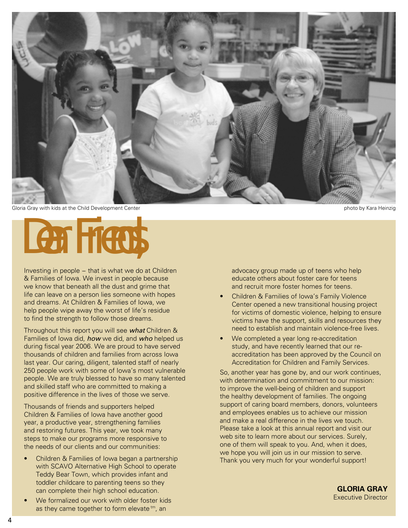

Gloria Gray with kids at the Child Development Center **photo by Kara Heinzig** photo by Kara Heinzig

# *Dear Friends,*

Investing in people − that is what we do at Children & Families of Iowa. We invest in people because we know that beneath all the dust and grime that life can leave on a person lies someone with hopes and dreams. At Children & Families of Iowa, we help people wipe away the worst of life's residue to find the strength to follow those dreams.

Throughout this report you will see what Children & Families of Iowa did, how we did, and who helped us during fiscal year 2006. We are proud to have served thousands of children and families from across Iowa last year. Our caring, diligent, talented staff of nearly 250 people work with some of Iowa's most vulnerable people. We are truly blessed to have so many talented and skilled staff who are committed to making a positive difference in the lives of those we serve.

Thousands of friends and supporters helped Children & Families of Iowa have another good year, a productive year, strengthening families and restoring futures. This year, we took many steps to make our programs more responsive to the needs of our clients and our communities:

- Children & Families of Iowa began a partnership with SCAVO Alternative High School to operate Teddy Bear Town, which provides infant and toddler childcare to parenting teens so they can complete their high school education. •
- We formalized our work with older foster kids as they came together to form elevate  $tm$ , an •

advocacy group made up of teens who help educate others about foster care for teens and recruit more foster homes for teens.

- Children & Families of Iowa's Family Violence Center opened a new transitional housing project for victims of domestic violence, helping to ensure victims have the support, skills and resources they need to establish and maintain violence-free lives. •
- We completed a year long re-accreditation study, and have recently learned that our reaccreditation has been approved by the Council on Accreditation for Children and Family Services. •

So, another year has gone by, and our work continues, with determination and commitment to our mission: to improve the well-being of children and support the healthy development of families. The ongoing support of caring board members, donors, volunteers and employees enables us to achieve our mission and make a real difference in the lives we touch. Please take a look at this annual report and visit our web site to learn more about our services. Surely, one of them will speak to you. And, when it does, we hope you will join us in our mission to serve. Thank you very much for your wonderful support!

> **GLORIA GRAY** Executive Director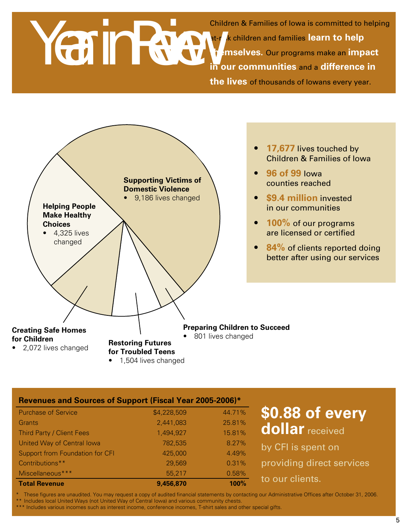# *Year in Review*

Children & Families of Iowa is committed to helping at-risk children and families **learn to help themselves.** Our programs make an **impact in our communities** and a **difference in the lives** of thousands of Iowans every year.



#### **Revenues and Sources of Support (Fiscal Year 2005-2006)\***

| <b>Purchase of Service</b>       | \$4,228,509 | 44.71% |
|----------------------------------|-------------|--------|
| Grants                           | 2,441,083   | 25.81% |
| <b>Third Party / Client Fees</b> | 1,494,927   | 15.81% |
| United Way of Central Iowa       | 782,535     | 8.27%  |
| Support from Foundation for CFI  | 425,000     | 4.49%  |
| Contributions**                  | 29,569      | 0.31%  |
| Miscellaneous***                 | 55,217      | 0.58%  |
| <b>Total Revenue</b>             | 9,456,870   | 100%   |

### **\$0.88 of every dollar** received

by CFI is spent on providing direct services to our clients.

These figures are unaudited. You may request a copy of audited financial statements by contacting our Administrative Offices after October 31, 2006.

\*\* Includes local United Ways (not United Way of Central Iowa) and various community chests.

\*\*\* Includes various incomes such as interest income, conference incomes, T-shirt sales and other special gifts.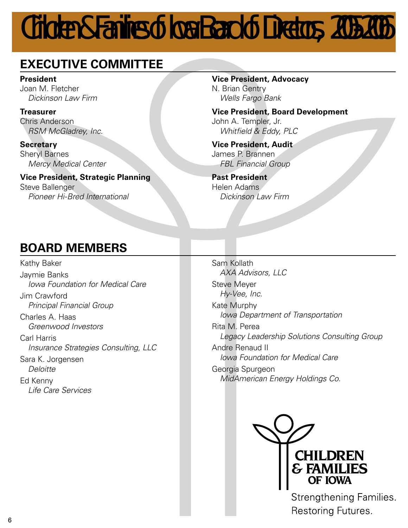## *Children & Families of lowa Board of Directors, 2005-2006*

### **EXECUTIVE COMMITTEE**

**President** Joan M. Fletcher Dickinson Law Firm

**Treasurer** Chris Anderson RSM McGladrey, Inc.

**Secretary** Sheryl Barnes Mercy Medical Center

**Vice President, Strategic Planning** Steve Ballenger

Pioneer Hi-Bred International

#### **Vice President, Advocacy**

N. Brian Gentry Wells Fargo Bank

**Vice President, Board Development** John A. Templer, Jr. Whitfield & Eddy, PLC

**Vice President, Audit** James P. Brannen FBL Financial Group

**Past President** Helen Adams Dickinson Law Firm

### **BOARD MEMBERS**

Kathy Baker Jaymie Banks Iowa Foundation for Medical Care Jim Crawford Principal Financial Group Charles A. Haas Greenwood Investors Carl Harris Insurance Strategies Consulting, LLC Sara K. Jorgensen **Deloitte** Ed Kenny Life Care Services

Sam Kollath AXA Advisors, LLC Steve Meyer Hy-Vee, Inc. Kate Murphy Iowa Department of Transportation Rita M. Perea Legacy Leadership Solutions Consulting Group Andre Renaud II Iowa Foundation for Medical Care Georgia Spurgeon MidAmerican Energy Holdings Co.



Strengthening Families. Restoring Futures.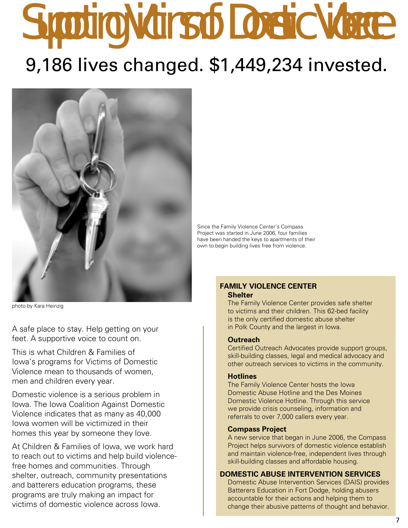# *Supporting Victims of Domestic Violence* 9,186 lives changed. \$1,449,234 invested.



photo by Kara Heinzig

A safe place to stay. Help getting on your feet. A supportive voice to count on.

This is what Children & Families of Iowa's programs for Victims of Domestic Violence mean to thousands of women, men and children every year.

Domestic violence is a serious problem in Iowa. The Iowa Coalition Against Domestic Violence indicates that as many as 40,000 Iowa women will be victimized in their homes this year by someone they love.

At Children & Families of Iowa, we work hard to reach out to victims and help build violencefree homes and communities. Through shelter, outreach, community presentations and batterers education programs, these programs are truly making an impact for victims of domestic violence across Iowa.

Since the Family Violence Center's Compass Project was started in June 2006, four families have been handed the keys to apartments of their own to begin building lives free from violence.

#### **FAMILY VIOLENCE CENTER Shelter**

The Family Violence Center provides safe shelter to victims and their children. This 62-bed facility is the only certified domestic abuse shelter in Polk County and the largest in Iowa.

#### **Outreach**

Certified Outreach Advocates provide support groups, skill-building classes, legal and medical advocacy and other outreach services to victims in the community.

#### **Hotlines**

The Family Violence Center hosts the Iowa Domestic Abuse Hotline and the Des Moines Domestic Violence Hotline. Through this service we provide crisis counseling, information and referrals to over 7,000 callers every year.

#### **Compass Project**

A new service that began in June 2006, the Compass Project helps survivors of domestic violence establish and maintain violence-free, independent lives through skill-building classes and affordable housing.

#### **DOMESTIC ABUSE INTERVENTION SERVICES**

Domestic Abuse Intervention Services (DAIS) provides Batterers Education in Fort Dodge, holding abusers accountable for their actions and helping them to change their abusive patterns of thought and behavior.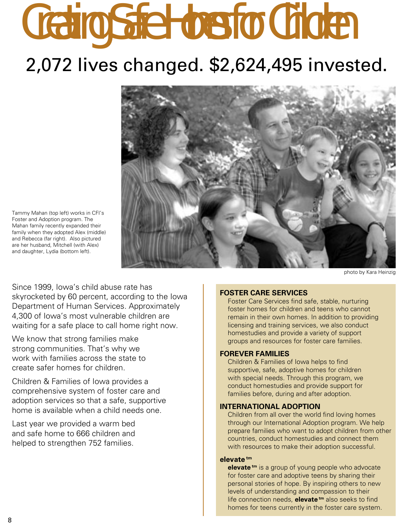# *Creating Safe Homes for Children* 2,072 lives changed. \$2,624,495 invested.



photo by Kara Heinzig

Tammy Mahan (top left) works in CFI's Foster and Adoption program. The Mahan family recently expanded their family when they adopted Alex (middle) and Rebecca (far right). Also pictured are her husband, Mitchell (with Alex) and daughter, Lydia (bottom left).

Since 1999, Iowa's child abuse rate has skyrocketed by 60 percent, according to the Iowa Department of Human Services. Approximately 4,300 of Iowa's most vulnerable children are waiting for a safe place to call home right now.

We know that strong families make strong communities. That's why we work with families across the state to create safer homes for children.

Children & Families of Iowa provides a comprehensive system of foster care and adoption services so that a safe, supportive home is available when a child needs one.

Last year we provided a warm bed and safe home to 666 children and helped to strengthen 752 families.

#### **FOSTER CARE SERVICES**

Foster Care Services find safe, stable, nurturing foster homes for children and teens who cannot remain in their own homes. In addition to providing licensing and training services, we also conduct homestudies and provide a variety of support groups and resources for foster care families.

#### **FOREVER FAMILIES**

Children & Families of Iowa helps to find supportive, safe, adoptive homes for children with special needs. Through this program, we conduct homestudies and provide support for families before, during and after adoption.

#### **INTERNATIONAL ADOPTION**

Children from all over the world find loving homes through our International Adoption program. We help prepare families who want to adopt children from other countries, conduct homestudies and connect them with resources to make their adoption successful.

#### **elevate tm**

**elevate**<sup>tm</sup> is a group of young people who advocate for foster care and adoptive teens by sharing their personal stories of hope. By inspiring others to new levels of understanding and compassion to their life connection needs, **elevate tm** also seeks to find homes for teens currently in the foster care system.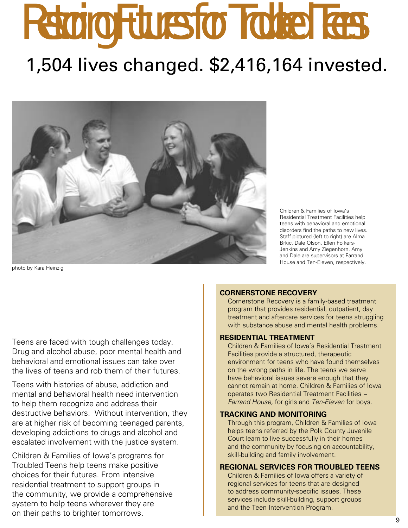# *Restoring Futures for Troubled Teens* 1,504 lives changed. \$2,416,164 invested.



photo by Kara Heinzig

Children & Families of Iowa's Residential Treatment Facilities help teens with behavioral and emotional disorders find the paths to new lives. Staff pictured (left to right) are Alma Brkic, Dale Olson, Ellen Folkers-Jenkins and Amy Ziegenhorn. Amy and Dale are supervisors at Farrand House and Ten-Eleven, respectively.

Teens are faced with tough challenges today. Drug and alcohol abuse, poor mental health and behavioral and emotional issues can take over the lives of teens and rob them of their futures.

Teens with histories of abuse, addiction and mental and behavioral health need intervention to help them recognize and address their destructive behaviors. Without intervention, they are at higher risk of becoming teenaged parents, developing addictions to drugs and alcohol and escalated involvement with the justice system.

Children & Families of Iowa's programs for Troubled Teens help teens make positive choices for their futures. From intensive residential treatment to support groups in the community, we provide a comprehensive system to help teens wherever they are on their paths to brighter tomorrows.

#### **CORNERSTONE RECOVERY**

Cornerstone Recovery is a family-based treatment program that provides residential, outpatient, day treatment and aftercare services for teens struggling with substance abuse and mental health problems.

#### **RESIDENTIAL TREATMENT**

Children & Families of Iowa's Residential Treatment Facilities provide a structured, therapeutic environment for teens who have found themselves on the wrong paths in life. The teens we serve have behavioral issues severe enough that they cannot remain at home. Children & Families of Iowa operates two Residential Treatment Facilities − Farrand House, for girls and Ten-Eleven for boys.

#### **TRACKING AND MONITORING**

Through this program, Children & Families of Iowa helps teens referred by the Polk County Juvenile Court learn to live successfully in their homes and the community by focusing on accountability, skill-building and family involvement.

#### **REGIONAL SERVICES FOR TROUBLED TEENS**

Children & Families of Iowa offers a variety of regional services for teens that are designed to address community-specific issues. These services include skill-building, support groups and the Teen Intervention Program.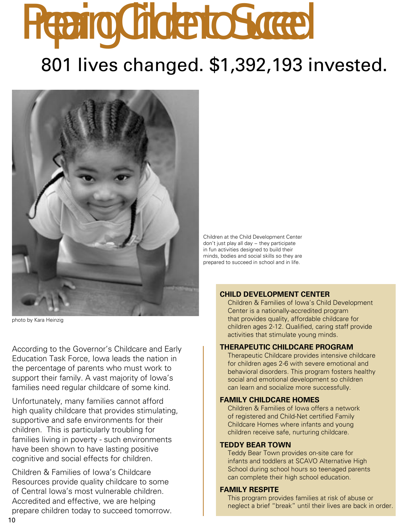# *Preparing Children to Succeed* 801 lives changed. \$1,392,193 invested.



photo by Kara Heinzig

According to the Governor's Childcare and Early Education Task Force, Iowa leads the nation in the percentage of parents who must work to support their family. A vast majority of Iowa's families need regular childcare of some kind.

Unfortunately, many families cannot afford high quality childcare that provides stimulating, supportive and safe environments for their children. This is particularly troubling for families living in poverty - such environments have been shown to have lasting positive cognitive and social effects for children.

Children & Families of Iowa's Childcare Resources provide quality childcare to some of Central Iowa's most vulnerable children. Accredited and effective, we are helping prepare children today to succeed tomorrow.

Children at the Child Development Center don't just play all day − they participate in fun activities designed to build their minds, bodies and social skills so they are prepared to succeed in school and in life.

#### **CHILD DEVELOPMENT CENTER**

Children & Families of Iowa's Child Development Center is a nationally-accredited program that provides quality, affordable childcare for children ages 2-12. Qualified, caring staff provide activities that stimulate young minds.

#### **THERAPEUTIC CHILDCARE PROGRAM**

Therapeutic Childcare provides intensive childcare for children ages 2-6 with severe emotional and behavioral disorders. This program fosters healthy social and emotional development so children can learn and socialize more successfully.

#### **FAMILY CHILDCARE HOMES**

Children & Families of Iowa offers a network of registered and Child-Net certified Family Childcare Homes where infants and young children receive safe, nurturing childcare.

#### **TEDDY BEAR TOWN**

Teddy Bear Town provides on-site care for infants and toddlers at SCAVO Alternative High School during school hours so teenaged parents can complete their high school education.

#### **FAMILY RESPITE**

This program provides families at risk of abuse or neglect a brief "break" until their lives are back in order.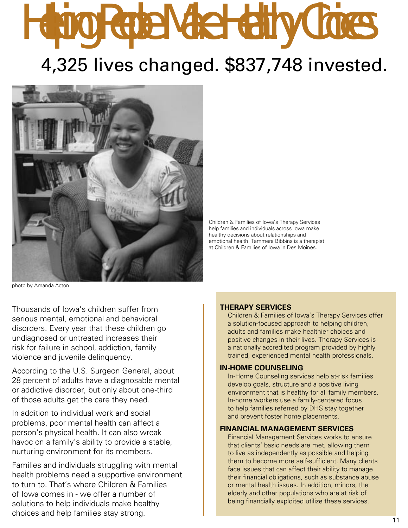## *Helping People Make Healthy Choices* 4,325 lives changed. \$837,748 invested.

Children & Families of Iowa's Therapy Services help families and individuals across Iowa make healthy decisions about relationships and emotional health. Tammera Bibbins is a therapist at Children & Families of Iowa in Des Moines.

photo by Amanda Acton

Thousands of Iowa's children suffer from serious mental, emotional and behavioral disorders. Every year that these children go undiagnosed or untreated increases their risk for failure in school, addiction, family violence and juvenile delinquency.

According to the U.S. Surgeon General, about 28 percent of adults have a diagnosable mental or addictive disorder, but only about one-third of those adults get the care they need.

In addition to individual work and social problems, poor mental health can affect a person's physical health. It can also wreak havoc on a family's ability to provide a stable, nurturing environment for its members.

Families and individuals struggling with mental health problems need a supportive environment to turn to. That's where Children & Families of Iowa comes in - we offer a number of solutions to help individuals make healthy choices and help families stay strong.

#### **THERAPY SERVICES**

Children & Families of Iowa's Therapy Services offer a solution-focused approach to helping children, adults and families make healthier choices and positive changes in their lives. Therapy Services is a nationally accredited program provided by highly trained, experienced mental health professionals.

#### **IN-HOME COUNSELING**

In-Home Counseling services help at-risk families develop goals, structure and a positive living environment that is healthy for all family members. In-home workers use a family-centered focus to help families referred by DHS stay together and prevent foster home placements.

#### **FINANCIAL MANAGEMENT SERVICES**

Financial Management Services works to ensure that clients' basic needs are met, allowing them to live as independently as possible and helping them to become more self-sufficient. Many clients face issues that can affect their ability to manage their financial obligations, such as substance abuse or mental health issues. In addition, minors, the elderly and other populations who are at risk of being financially exploited utilize these services.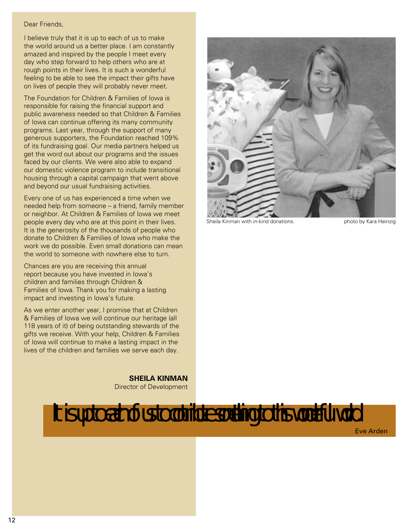#### Dear Friends,

I believe truly that it is up to each of us to make the world around us a better place. I am constantly amazed and inspired by the people I meet every day who step forward to help others who are at rough points in their lives. It is such a wonderful feeling to be able to see the impact their gifts have on lives of people they will probably never meet.

The Foundation for Children & Families of Iowa is responsible for raising the financial support and public awareness needed so that Children & Families of Iowa can continue offering its many community programs. Last year, through the support of many generous supporters, the Foundation reached 109% of its fundraising goal. Our media partners helped us get the word out about our programs and the issues faced by our clients. We were also able to expand our domestic violence program to include transitional housing through a capital campaign that went above and beyond our usual fundraising activities.

Every one of us has experienced a time when we needed help from someone – a friend, family member or neighbor. At Children & Families of Iowa we meet people every day who are at this point in their lives. It is the generosity of the thousands of people who donate to Children & Families of Iowa who make the work we do possible. Even small donations can mean the world to someone with nowhere else to turn.

Chances are you are receiving this annual report because you have invested in Iowa's children and families through Children & Families of Iowa. Thank you for making a lasting impact and investing in Iowa's future.

As we enter another year, I promise that at Children & Families of Iowa we will continue our heritage (all 118 years of it) of being outstanding stewards of the gifts we receive. With your help, Children & Families of Iowa will continue to make a lasting impact in the lives of the children and families we serve each day.

> **SHEILA KINMAN** Director of Development



Sheila Kinman with in-kind donations. The photo by Kara Heinzig

### *lt is up to each of us to contribute something to this wonderful world.*

Eve Arden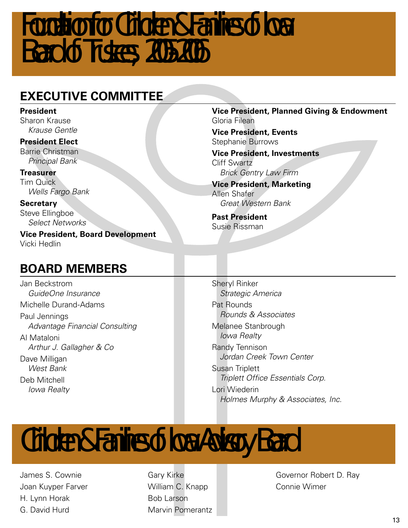### *Foundation for Children & Families of lowa Board of Trustees, 2005-2006*

### **EXECUTIVE COMMITTEE**

#### **President**

Sharon Krause Krause Gentle

#### **President Elect**

Barrie Christman Principal Bank

**Treasurer** Tim Quick Wells Fargo Bank

**Secretary** Steve Ellingboe Select Networks

**Vice President, Board Development** Vicki Hedlin

#### **Vice President, Planned Giving & Endowment** Gloria Filean

**Vice President, Events** Stephanie Burrows

**Vice President, Investments** Cliff Swartz Brick Gentry Law Firm

**Vice President, Marketing** Allen Shafer Great Western Bank

**Past President** Susie Rissman

### **BOARD MEMBERS**

Jan Beckstrom GuideOne Insurance Michelle Durand-Adams Paul Jennings Advantage Financial Consulting Al Mataloni Arthur J. Gallagher & Co Dave Milligan West Bank Deb Mitchell Iowa Realty

Sheryl Rinker Strategic America Pat Rounds Rounds & Associates Melanee Stanbrough Iowa Realty Randy Tennison Jordan Creek Town Center Susan Triplett Triplett Office Essentials Corp. Lori Wiederin Holmes Murphy & Associates, Inc.

## *Children & Families of lowa Advisory Board*

James S. Cownie Joan Kuyper Farver H. Lynn Horak G. David Hurd

Gary Kirke William C. Knapp Bob Larson Marvin Pomerantz Governor Robert D. Ray Connie Wimer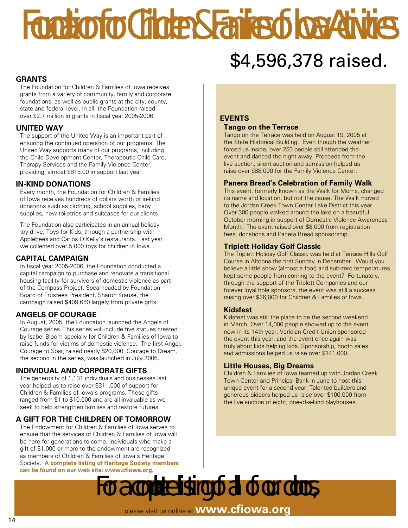## *Foundation for Children & Families of lowa Activities* \$4,596,378 raised.

#### **GRANTS**

The Foundation for Children & Families of Iowa receives grants from a variety of community, family and corporate foundations, as well as public grants at the city, county, state and federal level. In all, the Foundation raised over \$2.7 million in grants in fiscal year 2005-2006.

#### **UNITED WAY**

The support of the United Way is an important part of ensuring the continued operation of our programs. The United Way supports many of our programs, including the Child Development Center, Therapeutic Child Care, Therapy Services and the Family Violence Center, providing almost \$815,00 in support last year.

#### **IN-KIND DONATIONS**

Every month, the Foundation for Children & Families of Iowa receives hundreds of dollars worth of in-kind donations such as clothing, school supplies, baby supplies, new toiletries and suitcases for our clients.

The Foundation also participates in an annual holiday toy drive, Toys for Kids, through a partnership with Applebees and Carlos O'Kelly's restaurants. Last year we collected over 5,000 toys for children in Iowa.

#### **CAPITAL CAMPAIGN**

In fiscal year 2005-2006, the Foundation conducted a capital campaign to purchase and renovate a transitional housing facility for survivors of domestic violence as part of the Compass Project. Spearheaded by Foundation Board of Trustees President, Sharon Krause, the campaign raised \$409,650 largely from private gifts.

#### **ANGELS OF COURAGE**

In August, 2005, the Foundation launched the Angels of Courage series. This series will include five statues created by Isabel Bloom specially for Children & Families of Iowa to raise funds for victims of domestic violence. The first Angel, Courage to Soar, raised nearly \$20,000. Courage to Dream, the second in the series, was launched in July 2006.

#### **INDIVIDUAL AND CORPORATE GIFTS**

The generosity of 1,131 individuals and businesses last year helped us to raise over \$311,000 of support for Children & Families of Iowa's programs. These gifts ranged from \$1 to \$10,000 and are all invaluable as we seek to help strengthen families and restore futures.

#### **A GIFT FOR THE CHILDREN OF TOMORROW**

The Endowment for Children & Families of Iowa serves to ensure that the services of Children & Families of Iowa will be here for generations to come. Individuals who make a gift of \$1,000 or more to the endowment are recognized as members of Children & Families of Iowa's Heritage Society. **A complete listing of Heritage Society members can be found on our web site: www.cfiowa.org.** 

#### **EVENTS**

#### **Tango on the Terrace**

Tango on the Terrace was held on August 19, 2005 at the State Historical Building. Even though the weather forced us inside, over 250 people still attended the event and danced the night away. Proceeds from the live auction, silent auction and admission helped us raise over \$88,000 for the Family Violence Center.

#### **Panera Bread's Celebration of Family Walk**

This event, formerly known as the Walk for Moms, changed its name and location, but not the cause. The Walk moved to the Jordan Creek Town Center Lake District this year. Over 300 people walked around the lake on a beautiful October morning in support of Domestic Violence Awareness Month. The event raised over \$8,000 from registration fees, donations and Panera Bread sponsorship.

#### **Triplett Holiday Golf Classic**

The Triplett Holiday Golf Classic was held at Terrace Hills Golf Course in Altoona the first Sunday in December. Would you believe a little snow (almost a foot) and sub-zero temperatures kept some people from coming to the event? Fortunately, through the support of the Triplett Companies and our forever loyal hole sponsors, the event was still a success, raising over \$26,000 for Children & Families of Iowa.

#### **Kidsfest**

Kidsfest was still the place to be the second weekend in March. Over 14,000 people showed up to the event, now in its 14th year. Veridian Credit Union sponsored the event this year, and the event once again was truly about kids helping kids. Sponsorship, booth sales and admissions helped us raise over \$141,000.

#### **Little Houses, Big Dreams**

Children & Families of Iowa teamed up with Jordan Creek Town Center and Principal Bank in June to host this unique event for a second year. Talented builders and generous bidders helped us raise over \$100,000 from the live auction of eight, one-of-a-kind playhouses.

*For a complete listing of all of our donors,*  please visit us online at **www.cfiowa.org**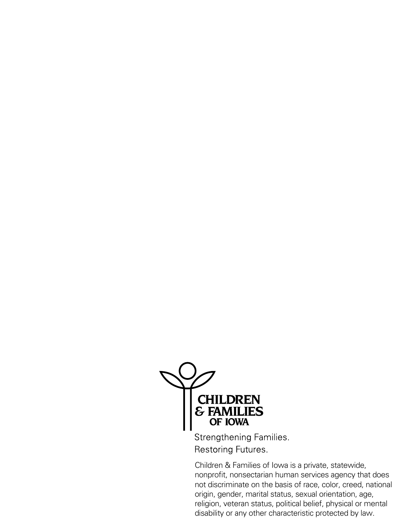

Strengthening Families. Restoring Futures.

Children & Families of Iowa is a private, statewide, nonprofit, nonsectarian human services agency that does not discriminate on the basis of race, color, creed, national origin, gender, marital status, sexual orientation, age, religion, veteran status, political belief, physical or mental disability or any other characteristic protected by law.